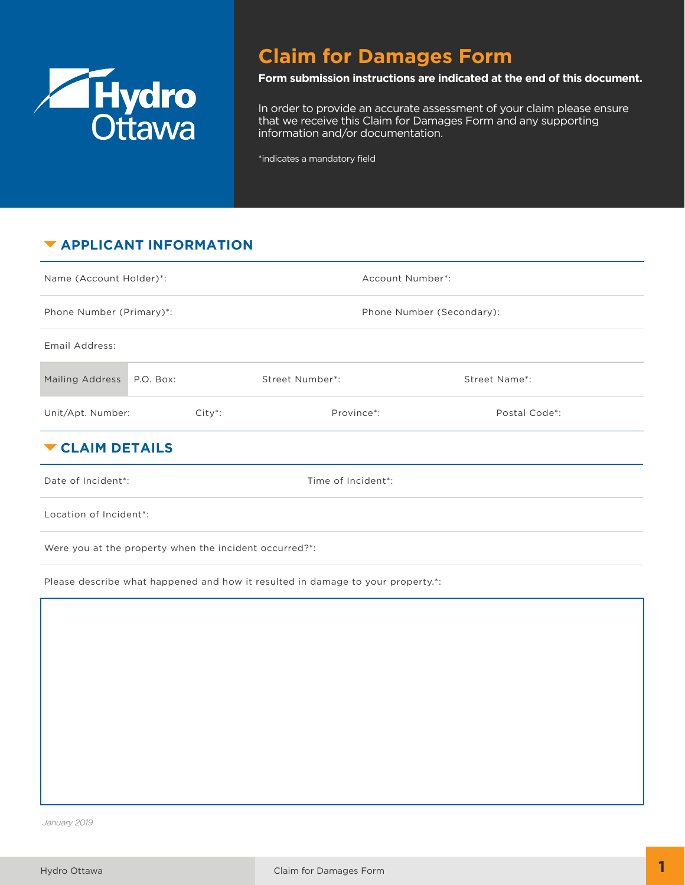

# **Claim for Damages Form**

#### **Form submission instructions are indicated at the end of this document.**

In order to provide an accurate assessment of your claim please ensure that we receive this Claim for Damages Form and any supporting information and/or documentation.

\*indicates a mandatory field

## **EXAMPLICANT INFORMATION**

| Name (Account Holder)*:                  |            |                 | Account Number*:          |  |  |  |  |  |
|------------------------------------------|------------|-----------------|---------------------------|--|--|--|--|--|
| Phone Number (Primary)*:                 |            |                 | Phone Number (Secondary): |  |  |  |  |  |
| Email Address:                           |            |                 |                           |  |  |  |  |  |
| Mailing Address P.O. Box:                |            | Street Number*: | Street Name*:             |  |  |  |  |  |
| Unit/Apt. Number:                        | $City^*$ : | Province*:      | Postal Code*:             |  |  |  |  |  |
| ▼ CLAIM DETAILS                          |            |                 |                           |  |  |  |  |  |
| Date of Incident*:<br>Time of Incident*: |            |                 |                           |  |  |  |  |  |
| Location of Incident*:                   |            |                 |                           |  |  |  |  |  |

Were you at the property when the incident occurred?\*:

Please describe what happened and how it resulted in damage to your property.\*:

*January 2019*